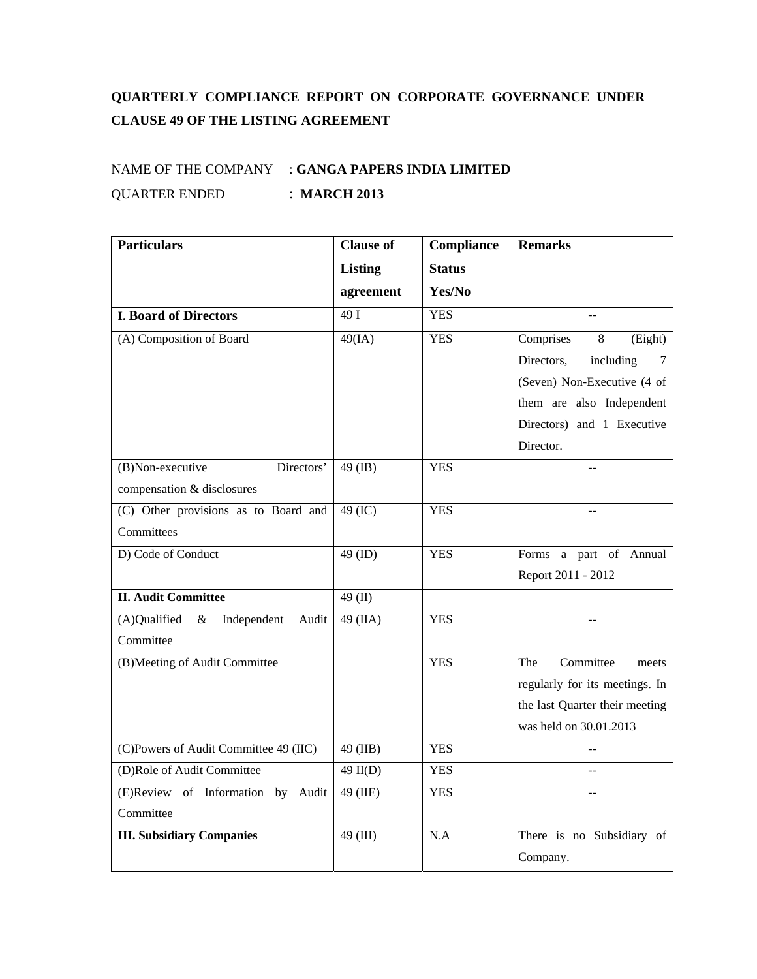## **QUARTERLY COMPLIANCE REPORT ON CORPORATE GOVERNANCE UNDER CLAUSE 49 OF THE LISTING AGREEMENT**

## NAME OF THE COMPANY : **GANGA PAPERS INDIA LIMITED** QUARTER ENDED : **MARCH 2013**

| <b>Particulars</b>                           | <b>Clause of</b> | Compliance    | <b>Remarks</b>                 |
|----------------------------------------------|------------------|---------------|--------------------------------|
|                                              | <b>Listing</b>   | <b>Status</b> |                                |
|                                              | agreement        | Yes/No        |                                |
| <b>I. Board of Directors</b>                 | 49I              | <b>YES</b>    |                                |
| (A) Composition of Board                     | 49(IA)           | <b>YES</b>    | Comprises<br>8<br>(Eight)      |
|                                              |                  |               | Directors,<br>including<br>7   |
|                                              |                  |               | (Seven) Non-Executive (4 of    |
|                                              |                  |               | them are also Independent      |
|                                              |                  |               | Directors) and 1 Executive     |
|                                              |                  |               | Director.                      |
| Directors'<br>(B)Non-executive               | 49 (IB)          | <b>YES</b>    |                                |
| compensation & disclosures                   |                  |               |                                |
| (C) Other provisions as to Board and         | 49 (IC)          | <b>YES</b>    |                                |
| Committees                                   |                  |               |                                |
| D) Code of Conduct                           | 49 (ID)          | <b>YES</b>    | Forms a part of Annual         |
|                                              |                  |               | Report 2011 - 2012             |
| <b>II. Audit Committee</b>                   | 49 $(II)$        |               |                                |
| (A)Qualified<br>Independent<br>$\&$<br>Audit | 49 (IIA)         | <b>YES</b>    |                                |
| Committee                                    |                  |               |                                |
| (B)Meeting of Audit Committee                |                  | <b>YES</b>    | Committee<br>The<br>meets      |
|                                              |                  |               | regularly for its meetings. In |
|                                              |                  |               | the last Quarter their meeting |
|                                              |                  |               | was held on 30.01.2013         |
| (C)Powers of Audit Committee 49 (IIC)        | 49 (IIB)         | <b>YES</b>    |                                |
| (D)Role of Audit Committee                   | $49$ II(D)       | <b>YES</b>    | $\overline{a}$                 |
| (E)Review of Information by<br>Audit         | 49 (IIE)         | <b>YES</b>    |                                |
| Committee                                    |                  |               |                                |
| <b>III. Subsidiary Companies</b>             | 49 (III)         | N.A           | There is no Subsidiary of      |
|                                              |                  |               | Company.                       |